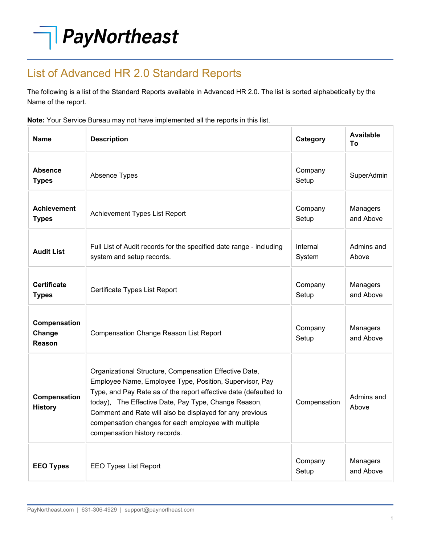## PayNortheast

## List of Advanced HR 2.0 Standard Reports

The following is a list of the Standard Reports available in Advanced HR 2.0. The list is sorted alphabetically by the Name of the report.

**Note:** Your Service Bureau may not have implemented all the reports in this list.

| <b>Name</b>                        | <b>Description</b>                                                                                                                                                                                                                                                                                                                                                                                 | Category           | <b>Available</b><br>Τo |
|------------------------------------|----------------------------------------------------------------------------------------------------------------------------------------------------------------------------------------------------------------------------------------------------------------------------------------------------------------------------------------------------------------------------------------------------|--------------------|------------------------|
| Absence<br><b>Types</b>            | Absence Types                                                                                                                                                                                                                                                                                                                                                                                      | Company<br>Setup   | SuperAdmin             |
| <b>Achievement</b><br><b>Types</b> | Achievement Types List Report                                                                                                                                                                                                                                                                                                                                                                      | Company<br>Setup   | Managers<br>and Above  |
| <b>Audit List</b>                  | Full List of Audit records for the specified date range - including<br>system and setup records.                                                                                                                                                                                                                                                                                                   | Internal<br>System | Admins and<br>Above    |
| Certificate<br><b>Types</b>        | Certificate Types List Report                                                                                                                                                                                                                                                                                                                                                                      | Company<br>Setup   | Managers<br>and Above  |
| Compensation<br>Change<br>Reason   | Compensation Change Reason List Report                                                                                                                                                                                                                                                                                                                                                             | Company<br>Setup   | Managers<br>and Above  |
| Compensation<br><b>History</b>     | Organizational Structure, Compensation Effective Date,<br>Employee Name, Employee Type, Position, Supervisor, Pay<br>Type, and Pay Rate as of the report effective date (defaulted to<br>today), The Effective Date, Pay Type, Change Reason,<br>Comment and Rate will also be displayed for any previous<br>compensation changes for each employee with multiple<br>compensation history records. | Compensation       | Admins and<br>Above    |
| <b>EEO Types</b>                   | <b>EEO Types List Report</b>                                                                                                                                                                                                                                                                                                                                                                       | Company<br>Setup   | Managers<br>and Above  |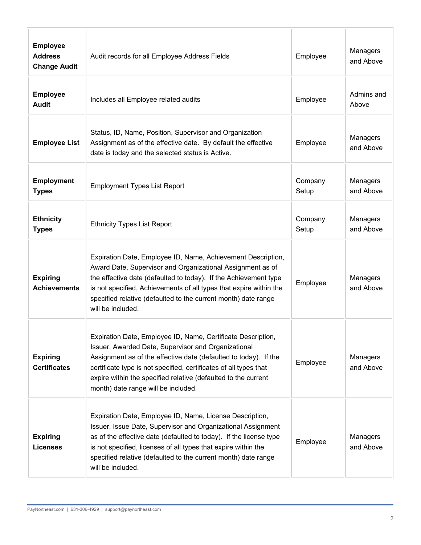| <b>Employee</b><br><b>Address</b><br><b>Change Audit</b> | Audit records for all Employee Address Fields                                                                                                                                                                                                                                                                                                                         | Employee         | Managers<br>and Above |
|----------------------------------------------------------|-----------------------------------------------------------------------------------------------------------------------------------------------------------------------------------------------------------------------------------------------------------------------------------------------------------------------------------------------------------------------|------------------|-----------------------|
| <b>Employee</b><br><b>Audit</b>                          | Includes all Employee related audits                                                                                                                                                                                                                                                                                                                                  | Employee         | Admins and<br>Above   |
| <b>Employee List</b>                                     | Status, ID, Name, Position, Supervisor and Organization<br>Assignment as of the effective date. By default the effective<br>date is today and the selected status is Active.                                                                                                                                                                                          | Employee         | Managers<br>and Above |
| <b>Employment</b><br><b>Types</b>                        | <b>Employment Types List Report</b>                                                                                                                                                                                                                                                                                                                                   | Company<br>Setup | Managers<br>and Above |
| <b>Ethnicity</b><br><b>Types</b>                         | <b>Ethnicity Types List Report</b>                                                                                                                                                                                                                                                                                                                                    | Company<br>Setup | Managers<br>and Above |
| <b>Expiring</b><br><b>Achievements</b>                   | Expiration Date, Employee ID, Name, Achievement Description,<br>Award Date, Supervisor and Organizational Assignment as of<br>the effective date (defaulted to today). If the Achievement type<br>is not specified, Achievements of all types that expire within the<br>specified relative (defaulted to the current month) date range<br>will be included.           | Employee         | Managers<br>and Above |
| <b>Expiring</b><br><b>Certificates</b>                   | Expiration Date, Employee ID, Name, Certificate Description,<br>Issuer, Awarded Date, Supervisor and Organizational<br>Assignment as of the effective date (defaulted to today). If the<br>certificate type is not specified, certificates of all types that<br>expire within the specified relative (defaulted to the current<br>month) date range will be included. | Employee         | Managers<br>and Above |
| <b>Expiring</b><br><b>Licenses</b>                       | Expiration Date, Employee ID, Name, License Description,<br>Issuer, Issue Date, Supervisor and Organizational Assignment<br>as of the effective date (defaulted to today). If the license type<br>is not specified, licenses of all types that expire within the<br>specified relative (defaulted to the current month) date range<br>will be included.               | Employee         | Managers<br>and Above |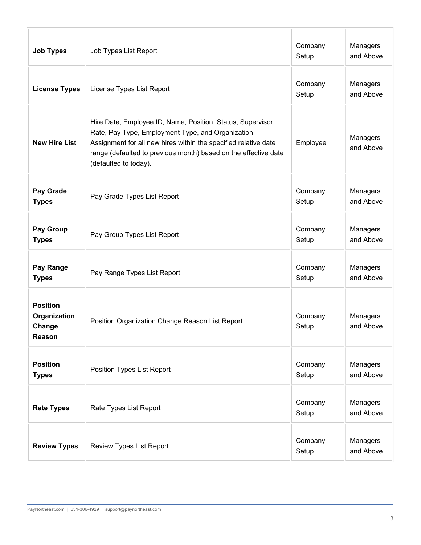| <b>Job Types</b>                                    | Job Types List Report                                                                                                                                                                                                                                                           | Company<br>Setup | Managers<br>and Above |
|-----------------------------------------------------|---------------------------------------------------------------------------------------------------------------------------------------------------------------------------------------------------------------------------------------------------------------------------------|------------------|-----------------------|
| <b>License Types</b>                                | License Types List Report                                                                                                                                                                                                                                                       | Company<br>Setup | Managers<br>and Above |
| <b>New Hire List</b>                                | Hire Date, Employee ID, Name, Position, Status, Supervisor,<br>Rate, Pay Type, Employment Type, and Organization<br>Assignment for all new hires within the specified relative date<br>range (defaulted to previous month) based on the effective date<br>(defaulted to today). | Employee         | Managers<br>and Above |
| Pay Grade<br><b>Types</b>                           | Pay Grade Types List Report                                                                                                                                                                                                                                                     | Company<br>Setup | Managers<br>and Above |
| Pay Group<br><b>Types</b>                           | Pay Group Types List Report                                                                                                                                                                                                                                                     | Company<br>Setup | Managers<br>and Above |
| Pay Range<br><b>Types</b>                           | Pay Range Types List Report                                                                                                                                                                                                                                                     | Company<br>Setup | Managers<br>and Above |
| <b>Position</b><br>Organization<br>Change<br>Reason | Position Organization Change Reason List Report                                                                                                                                                                                                                                 | Company<br>Setup | Managers<br>and Above |
| <b>Position</b><br><b>Types</b>                     | Position Types List Report                                                                                                                                                                                                                                                      | Company<br>Setup | Managers<br>and Above |
| <b>Rate Types</b>                                   | Rate Types List Report                                                                                                                                                                                                                                                          | Company<br>Setup | Managers<br>and Above |
| <b>Review Types</b>                                 | Review Types List Report                                                                                                                                                                                                                                                        | Company<br>Setup | Managers<br>and Above |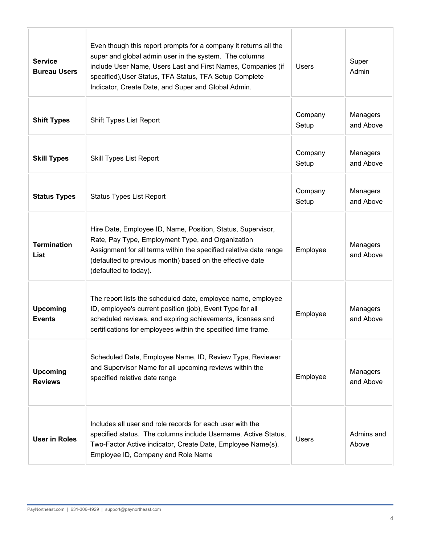| <b>Service</b><br><b>Bureau Users</b> | Even though this report prompts for a company it returns all the<br>super and global admin user in the system. The columns<br>include User Name, Users Last and First Names, Companies (if<br>specified), User Status, TFA Status, TFA Setup Complete<br>Indicator, Create Date, and Super and Global Admin. | <b>Users</b>     | Super<br>Admin        |
|---------------------------------------|--------------------------------------------------------------------------------------------------------------------------------------------------------------------------------------------------------------------------------------------------------------------------------------------------------------|------------------|-----------------------|
| <b>Shift Types</b>                    | Shift Types List Report                                                                                                                                                                                                                                                                                      | Company<br>Setup | Managers<br>and Above |
| <b>Skill Types</b>                    | <b>Skill Types List Report</b>                                                                                                                                                                                                                                                                               | Company<br>Setup | Managers<br>and Above |
| <b>Status Types</b>                   | <b>Status Types List Report</b>                                                                                                                                                                                                                                                                              | Company<br>Setup | Managers<br>and Above |
| <b>Termination</b><br>List            | Hire Date, Employee ID, Name, Position, Status, Supervisor,<br>Rate, Pay Type, Employment Type, and Organization<br>Assignment for all terms within the specified relative date range<br>(defaulted to previous month) based on the effective date<br>(defaulted to today).                                  | Employee         | Managers<br>and Above |
| <b>Upcoming</b><br><b>Events</b>      | The report lists the scheduled date, employee name, employee<br>ID, employee's current position (job), Event Type for all<br>scheduled reviews, and expiring achievements, licenses and<br>certifications for employees within the specified time frame.                                                     | Employee         | Managers<br>and Above |
| <b>Upcoming</b><br><b>Reviews</b>     | Scheduled Date, Employee Name, ID, Review Type, Reviewer<br>and Supervisor Name for all upcoming reviews within the<br>specified relative date range                                                                                                                                                         | Employee         | Managers<br>and Above |
| <b>User in Roles</b>                  | Includes all user and role records for each user with the<br>specified status. The columns include Username, Active Status,<br>Two-Factor Active indicator, Create Date, Employee Name(s),<br>Employee ID, Company and Role Name                                                                             | <b>Users</b>     | Admins and<br>Above   |